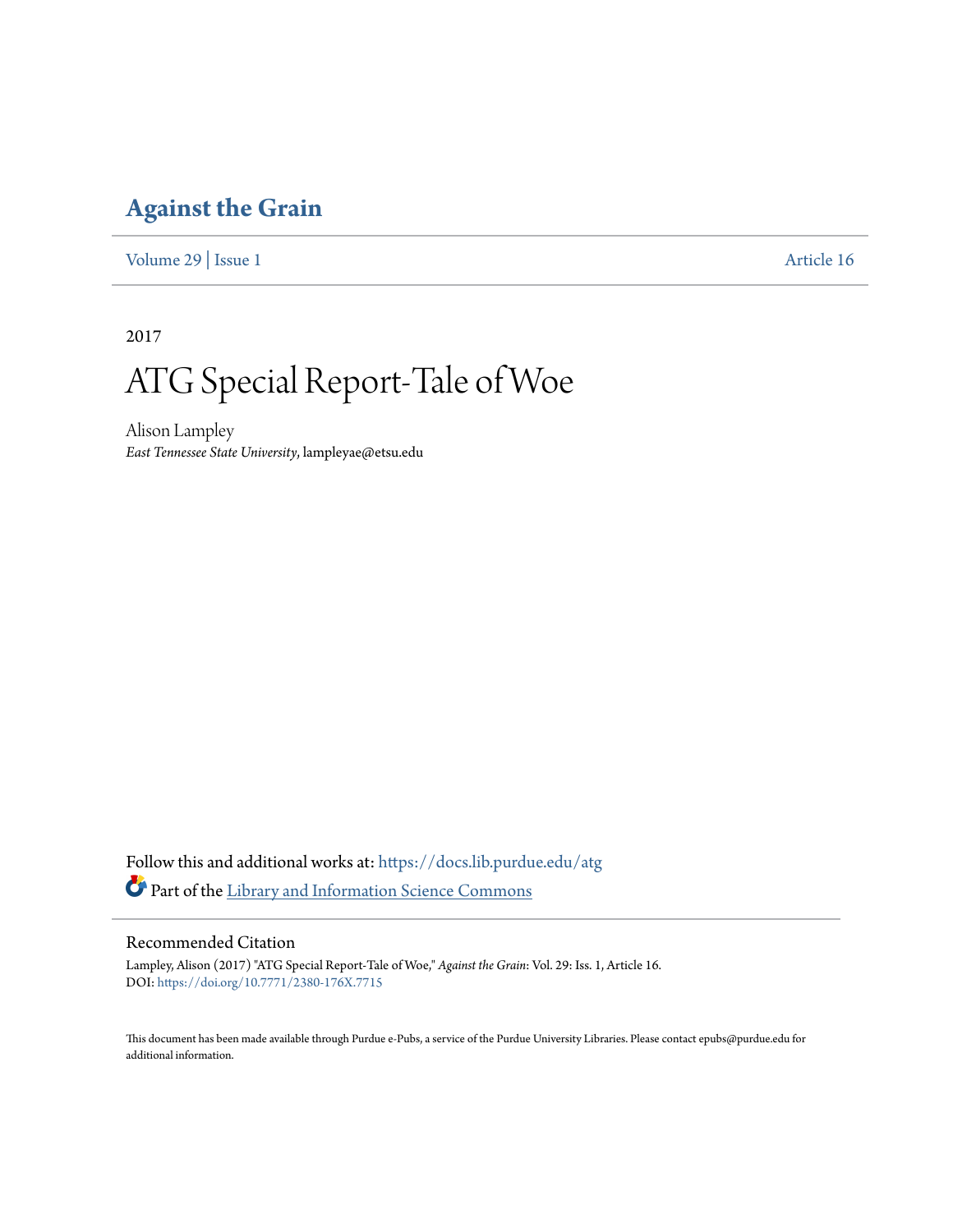## **[Against the Grain](https://docs.lib.purdue.edu/atg?utm_source=docs.lib.purdue.edu%2Fatg%2Fvol29%2Fiss1%2F16&utm_medium=PDF&utm_campaign=PDFCoverPages)**

[Volume 29](https://docs.lib.purdue.edu/atg/vol29?utm_source=docs.lib.purdue.edu%2Fatg%2Fvol29%2Fiss1%2F16&utm_medium=PDF&utm_campaign=PDFCoverPages) | [Issue 1](https://docs.lib.purdue.edu/atg/vol29/iss1?utm_source=docs.lib.purdue.edu%2Fatg%2Fvol29%2Fiss1%2F16&utm_medium=PDF&utm_campaign=PDFCoverPages) [Article 16](https://docs.lib.purdue.edu/atg/vol29/iss1/16?utm_source=docs.lib.purdue.edu%2Fatg%2Fvol29%2Fiss1%2F16&utm_medium=PDF&utm_campaign=PDFCoverPages)

2017

## ATG Special Report-Tale of Woe

Alison Lampley *East Tennessee State University*, lampleyae@etsu.edu

Follow this and additional works at: [https://docs.lib.purdue.edu/atg](https://docs.lib.purdue.edu/atg?utm_source=docs.lib.purdue.edu%2Fatg%2Fvol29%2Fiss1%2F16&utm_medium=PDF&utm_campaign=PDFCoverPages) Part of the [Library and Information Science Commons](http://network.bepress.com/hgg/discipline/1018?utm_source=docs.lib.purdue.edu%2Fatg%2Fvol29%2Fiss1%2F16&utm_medium=PDF&utm_campaign=PDFCoverPages)

## Recommended Citation

Lampley, Alison (2017) "ATG Special Report-Tale of Woe," *Against the Grain*: Vol. 29: Iss. 1, Article 16. DOI: <https://doi.org/10.7771/2380-176X.7715>

This document has been made available through Purdue e-Pubs, a service of the Purdue University Libraries. Please contact epubs@purdue.edu for additional information.